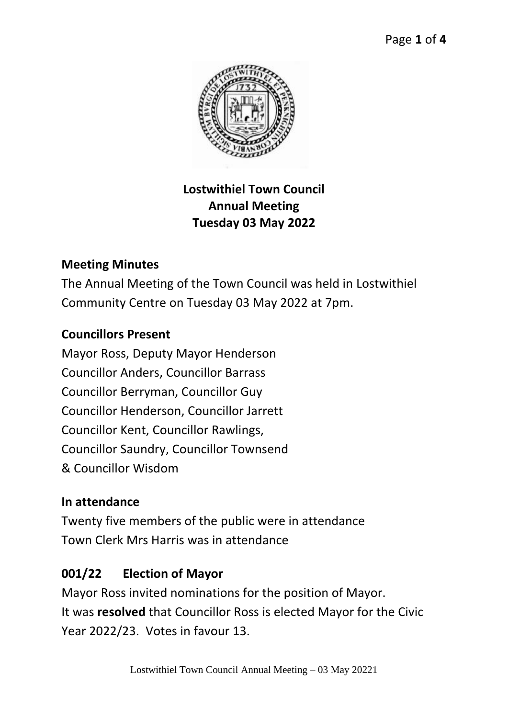

## **Lostwithiel Town Council Annual Meeting Tuesday 03 May 2022**

## **Meeting Minutes**

The Annual Meeting of the Town Council was held in Lostwithiel Community Centre on Tuesday 03 May 2022 at 7pm.

### **Councillors Present**

Mayor Ross, Deputy Mayor Henderson Councillor Anders, Councillor Barrass Councillor Berryman, Councillor Guy Councillor Henderson, Councillor Jarrett Councillor Kent, Councillor Rawlings, Councillor Saundry, Councillor Townsend & Councillor Wisdom

### **In attendance**

Twenty five members of the public were in attendance Town Clerk Mrs Harris was in attendance

## **001/22 Election of Mayor**

Mayor Ross invited nominations for the position of Mayor. It was **resolved** that Councillor Ross is elected Mayor for the Civic Year 2022/23. Votes in favour 13.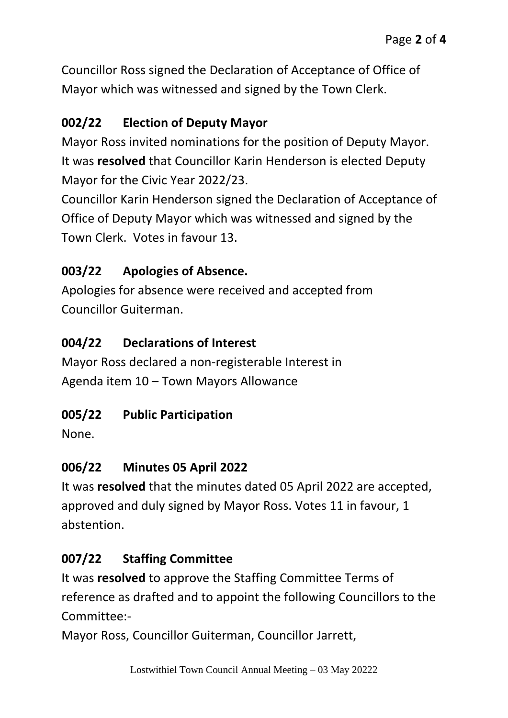Councillor Ross signed the Declaration of Acceptance of Office of Mayor which was witnessed and signed by the Town Clerk.

## **002/22 Election of Deputy Mayor**

Mayor Ross invited nominations for the position of Deputy Mayor. It was **resolved** that Councillor Karin Henderson is elected Deputy Mayor for the Civic Year 2022/23.

Councillor Karin Henderson signed the Declaration of Acceptance of Office of Deputy Mayor which was witnessed and signed by the Town Clerk. Votes in favour 13.

## **003/22 Apologies of Absence.**

Apologies for absence were received and accepted from Councillor Guiterman.

## **004/22 Declarations of Interest**

Mayor Ross declared a non-registerable Interest in Agenda item 10 – Town Mayors Allowance

# **005/22 Public Participation**

None.

# **006/22 Minutes 05 April 2022**

It was **resolved** that the minutes dated 05 April 2022 are accepted, approved and duly signed by Mayor Ross. Votes 11 in favour, 1 abstention.

# **007/22 Staffing Committee**

It was **resolved** to approve the Staffing Committee Terms of reference as drafted and to appoint the following Councillors to the Committee:-

Mayor Ross, Councillor Guiterman, Councillor Jarrett,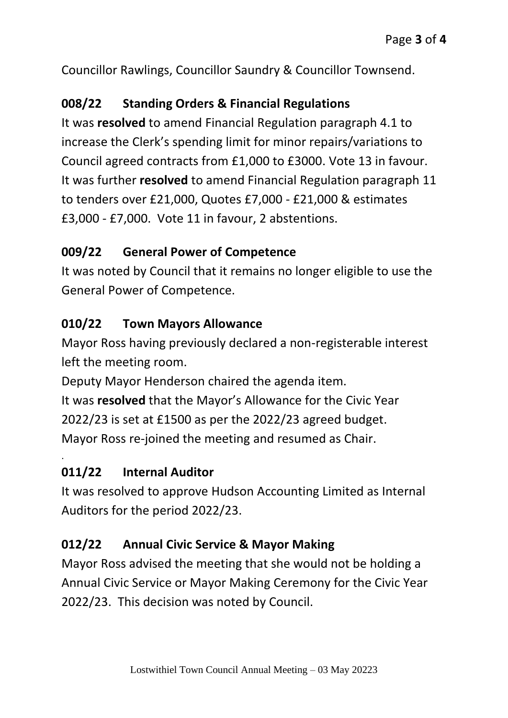Councillor Rawlings, Councillor Saundry & Councillor Townsend.

### **008/22 Standing Orders & Financial Regulations**

It was **resolved** to amend Financial Regulation paragraph 4.1 to increase the Clerk's spending limit for minor repairs/variations to Council agreed contracts from £1,000 to £3000. Vote 13 in favour. It was further **resolved** to amend Financial Regulation paragraph 11 to tenders over £21,000, Quotes £7,000 - £21,000 & estimates £3,000 - £7,000. Vote 11 in favour, 2 abstentions.

### **009/22 General Power of Competence**

It was noted by Council that it remains no longer eligible to use the General Power of Competence.

### **010/22 Town Mayors Allowance**

Mayor Ross having previously declared a non-registerable interest left the meeting room.

Deputy Mayor Henderson chaired the agenda item. It was **resolved** that the Mayor's Allowance for the Civic Year 2022/23 is set at £1500 as per the 2022/23 agreed budget. Mayor Ross re-joined the meeting and resumed as Chair.

### **011/22 Internal Auditor**

.

It was resolved to approve Hudson Accounting Limited as Internal Auditors for the period 2022/23.

### **012/22 Annual Civic Service & Mayor Making**

Mayor Ross advised the meeting that she would not be holding a Annual Civic Service or Mayor Making Ceremony for the Civic Year 2022/23. This decision was noted by Council.